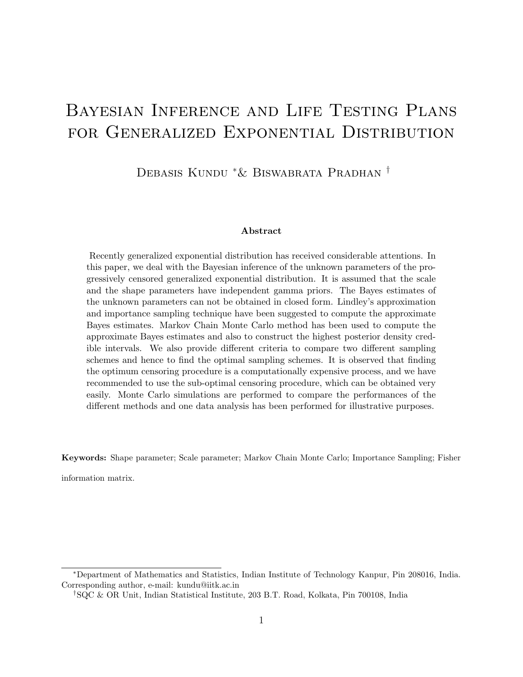# Bayesian Inference and Life Testing Plans FOR GENERALIZED EXPONENTIAL DISTRIBUTION

Debasis Kundu <sup>∗</sup>& Biswabrata Pradhan †

#### Abstract

Recently generalized exponential distribution has received considerable attentions. In this paper, we deal with the Bayesian inference of the unknown parameters of the progressively censored generalized exponential distribution. It is assumed that the scale and the shape parameters have independent gamma priors. The Bayes estimates of the unknown parameters can not be obtained in closed form. Lindley's approximation and importance sampling technique have been suggested to compute the approximate Bayes estimates. Markov Chain Monte Carlo method has been used to compute the approximate Bayes estimates and also to construct the highest posterior density credible intervals. We also provide different criteria to compare two different sampling schemes and hence to find the optimal sampling schemes. It is observed that finding the optimum censoring procedure is a computationally expensive process, and we have recommended to use the sub-optimal censoring procedure, which can be obtained very easily. Monte Carlo simulations are performed to compare the performances of the different methods and one data analysis has been performed for illustrative purposes.

Keywords: Shape parameter; Scale parameter; Markov Chain Monte Carlo; Importance Sampling; Fisher

information matrix.

<sup>∗</sup>Department of Mathematics and Statistics, Indian Institute of Technology Kanpur, Pin 208016, India. Corresponding author, e-mail: kundu@iitk.ac.in

<sup>†</sup>SQC & OR Unit, Indian Statistical Institute, 203 B.T. Road, Kolkata, Pin 700108, India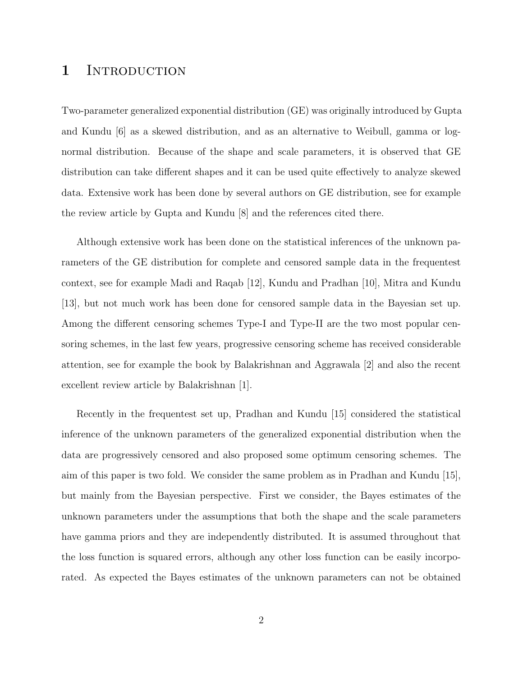#### 1 INTRODUCTION

Two-parameter generalized exponential distribution (GE) was originally introduced by Gupta and Kundu [6] as a skewed distribution, and as an alternative to Weibull, gamma or lognormal distribution. Because of the shape and scale parameters, it is observed that GE distribution can take different shapes and it can be used quite effectively to analyze skewed data. Extensive work has been done by several authors on GE distribution, see for example the review article by Gupta and Kundu [8] and the references cited there.

Although extensive work has been done on the statistical inferences of the unknown parameters of the GE distribution for complete and censored sample data in the frequentest context, see for example Madi and Raqab [12], Kundu and Pradhan [10], Mitra and Kundu [13], but not much work has been done for censored sample data in the Bayesian set up. Among the different censoring schemes Type-I and Type-II are the two most popular censoring schemes, in the last few years, progressive censoring scheme has received considerable attention, see for example the book by Balakrishnan and Aggrawala [2] and also the recent excellent review article by Balakrishnan [1].

Recently in the frequentest set up, Pradhan and Kundu [15] considered the statistical inference of the unknown parameters of the generalized exponential distribution when the data are progressively censored and also proposed some optimum censoring schemes. The aim of this paper is two fold. We consider the same problem as in Pradhan and Kundu [15], but mainly from the Bayesian perspective. First we consider, the Bayes estimates of the unknown parameters under the assumptions that both the shape and the scale parameters have gamma priors and they are independently distributed. It is assumed throughout that the loss function is squared errors, although any other loss function can be easily incorporated. As expected the Bayes estimates of the unknown parameters can not be obtained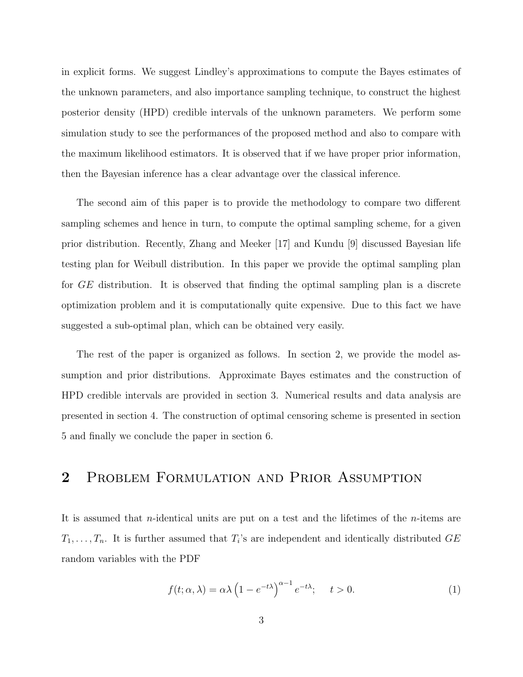in explicit forms. We suggest Lindley's approximations to compute the Bayes estimates of the unknown parameters, and also importance sampling technique, to construct the highest posterior density (HPD) credible intervals of the unknown parameters. We perform some simulation study to see the performances of the proposed method and also to compare with the maximum likelihood estimators. It is observed that if we have proper prior information, then the Bayesian inference has a clear advantage over the classical inference.

The second aim of this paper is to provide the methodology to compare two different sampling schemes and hence in turn, to compute the optimal sampling scheme, for a given prior distribution. Recently, Zhang and Meeker [17] and Kundu [9] discussed Bayesian life testing plan for Weibull distribution. In this paper we provide the optimal sampling plan for GE distribution. It is observed that finding the optimal sampling plan is a discrete optimization problem and it is computationally quite expensive. Due to this fact we have suggested a sub-optimal plan, which can be obtained very easily.

The rest of the paper is organized as follows. In section 2, we provide the model assumption and prior distributions. Approximate Bayes estimates and the construction of HPD credible intervals are provided in section 3. Numerical results and data analysis are presented in section 4. The construction of optimal censoring scheme is presented in section 5 and finally we conclude the paper in section 6.

## 2 Problem Formulation and Prior Assumption

It is assumed that n-identical units are put on a test and the lifetimes of the n-items are  $T_1, \ldots, T_n$ . It is further assumed that  $T_i$ 's are independent and identically distributed GE random variables with the PDF

$$
f(t; \alpha, \lambda) = \alpha \lambda \left( 1 - e^{-t\lambda} \right)^{\alpha - 1} e^{-t\lambda}; \quad t > 0.
$$
 (1)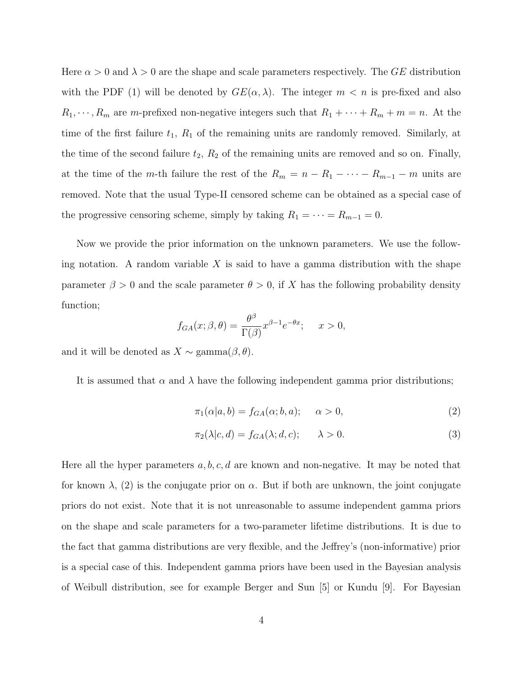Here  $\alpha > 0$  and  $\lambda > 0$  are the shape and scale parameters respectively. The GE distribution with the PDF (1) will be denoted by  $GE(\alpha, \lambda)$ . The integer  $m < n$  is pre-fixed and also  $R_1, \dots, R_m$  are m-prefixed non-negative integers such that  $R_1 + \dots + R_m + m = n$ . At the time of the first failure  $t_1$ ,  $R_1$  of the remaining units are randomly removed. Similarly, at the time of the second failure  $t_2$ ,  $R_2$  of the remaining units are removed and so on. Finally, at the time of the m-th failure the rest of the  $R_m = n - R_1 - \cdots - R_{m-1} - m$  units are removed. Note that the usual Type-II censored scheme can be obtained as a special case of the progressive censoring scheme, simply by taking  $R_1 = \cdots = R_{m-1} = 0$ .

Now we provide the prior information on the unknown parameters. We use the following notation. A random variable  $X$  is said to have a gamma distribution with the shape parameter  $\beta > 0$  and the scale parameter  $\theta > 0$ , if X has the following probability density function;

$$
f_{GA}(x; \beta, \theta) = \frac{\theta^{\beta}}{\Gamma(\beta)} x^{\beta - 1} e^{-\theta x}; \quad x > 0,
$$

and it will be denoted as  $X \sim \text{gamma}(\beta, \theta)$ .

It is assumed that  $\alpha$  and  $\lambda$  have the following independent gamma prior distributions;

$$
\pi_1(\alpha|a,b) = f_{GA}(\alpha;b,a); \qquad \alpha > 0,
$$
\n<sup>(2)</sup>

$$
\pi_2(\lambda|c, d) = f_{GA}(\lambda; d, c); \qquad \lambda > 0.
$$
\n(3)

Here all the hyper parameters  $a, b, c, d$  are known and non-negative. It may be noted that for known  $\lambda$ , (2) is the conjugate prior on  $\alpha$ . But if both are unknown, the joint conjugate priors do not exist. Note that it is not unreasonable to assume independent gamma priors on the shape and scale parameters for a two-parameter lifetime distributions. It is due to the fact that gamma distributions are very flexible, and the Jeffrey's (non-informative) prior is a special case of this. Independent gamma priors have been used in the Bayesian analysis of Weibull distribution, see for example Berger and Sun [5] or Kundu [9]. For Bayesian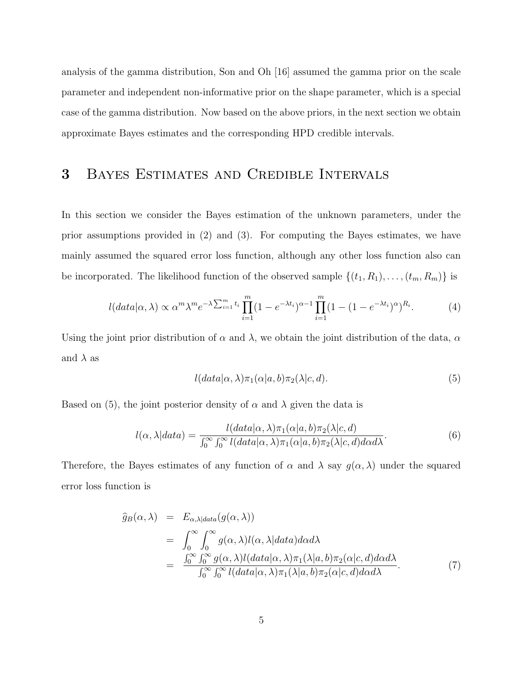analysis of the gamma distribution, Son and Oh [16] assumed the gamma prior on the scale parameter and independent non-informative prior on the shape parameter, which is a special case of the gamma distribution. Now based on the above priors, in the next section we obtain approximate Bayes estimates and the corresponding HPD credible intervals.

### 3 Bayes Estimates and Credible Intervals

In this section we consider the Bayes estimation of the unknown parameters, under the prior assumptions provided in (2) and (3). For computing the Bayes estimates, we have mainly assumed the squared error loss function, although any other loss function also can be incorporated. The likelihood function of the observed sample  $\{(t_1, R_1), \ldots, (t_m, R_m)\}\$ is

$$
l(data|\alpha,\lambda) \propto \alpha^m \lambda^m e^{-\lambda \sum_{i=1}^m t_i} \prod_{i=1}^m (1 - e^{-\lambda t_i})^{\alpha - 1} \prod_{i=1}^m (1 - (1 - e^{-\lambda t_i})^{\alpha})^{R_i}.
$$
 (4)

Using the joint prior distribution of  $\alpha$  and  $\lambda$ , we obtain the joint distribution of the data,  $\alpha$ and  $\lambda$  as

$$
l(data|\alpha, \lambda)\pi_1(\alpha|a, b)\pi_2(\lambda|c, d).
$$
\n(5)

Based on (5), the joint posterior density of  $\alpha$  and  $\lambda$  given the data is

$$
l(\alpha, \lambda|data) = \frac{l(data|\alpha, \lambda)\pi_1(\alpha|a, b)\pi_2(\lambda|c, d)}{\int_0^\infty \int_0^\infty l(data|\alpha, \lambda)\pi_1(\alpha|a, b)\pi_2(\lambda|c, d)d\alpha d\lambda}.
$$
(6)

Therefore, the Bayes estimates of any function of  $\alpha$  and  $\lambda$  say  $q(\alpha, \lambda)$  under the squared error loss function is

$$
\hat{g}_B(\alpha, \lambda) = E_{\alpha, \lambda|data}(g(\alpha, \lambda))
$$
\n
$$
= \int_0^\infty \int_0^\infty g(\alpha, \lambda) l(\alpha, \lambda|data) d\alpha d\lambda
$$
\n
$$
= \frac{\int_0^\infty \int_0^\infty g(\alpha, \lambda) l(data|\alpha, \lambda) \pi_1(\lambda|a, b) \pi_2(\alpha|c, d) d\alpha d\lambda}{\int_0^\infty \int_0^\infty l(data|\alpha, \lambda) \pi_1(\lambda|a, b) \pi_2(\alpha|c, d) d\alpha d\lambda}.
$$
\n(7)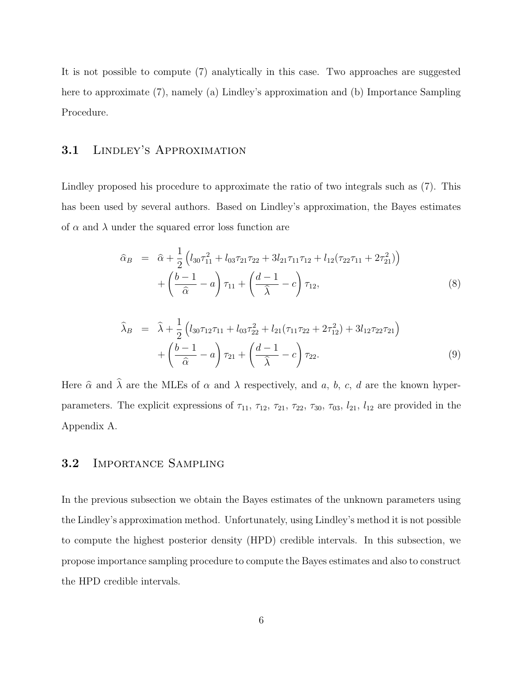It is not possible to compute (7) analytically in this case. Two approaches are suggested here to approximate (7), namely (a) Lindley's approximation and (b) Importance Sampling Procedure.

#### 3.1 Lindley's Approximation

Lindley proposed his procedure to approximate the ratio of two integrals such as (7). This has been used by several authors. Based on Lindley's approximation, the Bayes estimates of  $\alpha$  and  $\lambda$  under the squared error loss function are

$$
\hat{\alpha}_B = \hat{\alpha} + \frac{1}{2} \left( l_{30} \tau_{11}^2 + l_{03} \tau_{21} \tau_{22} + 3 l_{21} \tau_{11} \tau_{12} + l_{12} (\tau_{22} \tau_{11} + 2 \tau_{21}^2) \right) \n+ \left( \frac{b-1}{\hat{\alpha}} - a \right) \tau_{11} + \left( \frac{d-1}{\hat{\lambda}} - c \right) \tau_{12},
$$
\n(8)

$$
\widehat{\lambda}_B = \widehat{\lambda} + \frac{1}{2} \left( l_{30} \tau_{12} \tau_{11} + l_{03} \tau_{22}^2 + l_{21} (\tau_{11} \tau_{22} + 2 \tau_{12}^2) + 3 l_{12} \tau_{22} \tau_{21} \right) \n+ \left( \frac{b-1}{\widehat{\alpha}} - a \right) \tau_{21} + \left( \frac{d-1}{\widehat{\lambda}} - c \right) \tau_{22}.
$$
\n(9)

Here  $\hat{\alpha}$  and  $\hat{\lambda}$  are the MLEs of  $\alpha$  and  $\lambda$  respectively, and a, b, c, d are the known hyperparameters. The explicit expressions of  $\tau_{11}$ ,  $\tau_{12}$ ,  $\tau_{21}$ ,  $\tau_{22}$ ,  $\tau_{30}$ ,  $\tau_{03}$ ,  $l_{21}$ ,  $l_{12}$  are provided in the Appendix A.

#### 3.2 Importance Sampling

In the previous subsection we obtain the Bayes estimates of the unknown parameters using the Lindley's approximation method. Unfortunately, using Lindley's method it is not possible to compute the highest posterior density (HPD) credible intervals. In this subsection, we propose importance sampling procedure to compute the Bayes estimates and also to construct the HPD credible intervals.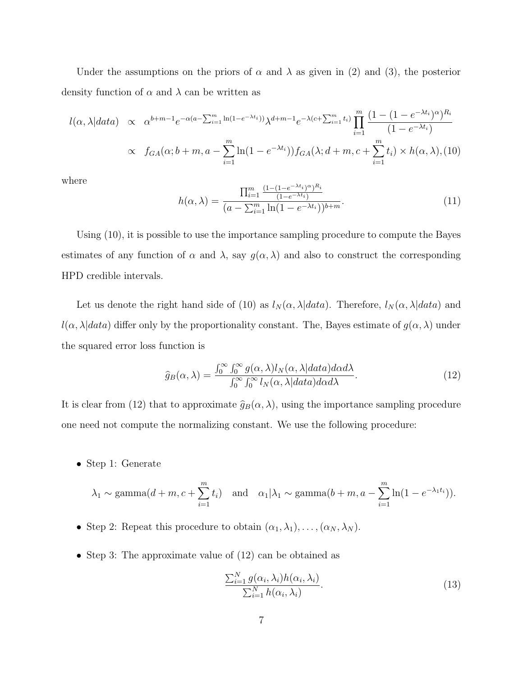Under the assumptions on the priors of  $\alpha$  and  $\lambda$  as given in (2) and (3), the posterior density function of  $\alpha$  and  $\lambda$  can be written as

$$
l(\alpha, \lambda|data) \propto \alpha^{b+m-1} e^{-\alpha(a-\sum_{i=1}^{m} \ln(1-e^{-\lambda t_i}))} \lambda^{d+m-1} e^{-\lambda(c+\sum_{i=1}^{m} t_i)} \prod_{i=1}^{m} \frac{(1-(1-e^{-\lambda t_i})^{\alpha})^{R_i}}{(1-e^{-\lambda t_i})}
$$
  
 
$$
\propto f_{GA}(\alpha; b+m, a-\sum_{i=1}^{m} \ln(1-e^{-\lambda t_i})) f_{GA}(\lambda; d+m, c+\sum_{i=1}^{m} t_i) \times h(\alpha, \lambda), (10)
$$

where

$$
h(\alpha, \lambda) = \frac{\prod_{i=1}^{m} \frac{(1 - (1 - e^{-\lambda t_i})^{\alpha})^{R_i}}{(1 - e^{-\lambda t_i})}}{(a - \sum_{i=1}^{m} \ln(1 - e^{-\lambda t_i}))^{b+m}}.
$$
\n(11)

Using (10), it is possible to use the importance sampling procedure to compute the Bayes estimates of any function of  $\alpha$  and  $\lambda$ , say  $g(\alpha, \lambda)$  and also to construct the corresponding HPD credible intervals.

Let us denote the right hand side of (10) as  $l_N(\alpha, \lambda|data)$ . Therefore,  $l_N(\alpha, \lambda|data)$  and  $l(\alpha, \lambda|data)$  differ only by the proportionality constant. The, Bayes estimate of  $g(\alpha, \lambda)$  under the squared error loss function is

$$
\widehat{g}_B(\alpha,\lambda) = \frac{\int_0^\infty \int_0^\infty g(\alpha,\lambda) l_N(\alpha,\lambda | data) d\alpha d\lambda}{\int_0^\infty \int_0^\infty l_N(\alpha,\lambda | data) d\alpha d\lambda}.
$$
\n(12)

It is clear from (12) that to approximate  $\hat{g}_B(\alpha, \lambda)$ , using the importance sampling procedure one need not compute the normalizing constant. We use the following procedure:

• Step 1: Generate

$$
\lambda_1 \sim \text{gamma}(d+m, c+\sum_{i=1}^m t_i)
$$
 and  $\alpha_1|\lambda_1 \sim \text{gamma}(b+m, a-\sum_{i=1}^m \ln(1-e^{-\lambda_1 t_i})).$ 

- Step 2: Repeat this procedure to obtain  $(\alpha_1, \lambda_1), \ldots, (\alpha_N, \lambda_N)$ .
- Step 3: The approximate value of (12) can be obtained as

$$
\frac{\sum_{i=1}^{N} g(\alpha_i, \lambda_i) h(\alpha_i, \lambda_i)}{\sum_{i=1}^{N} h(\alpha_i, \lambda_i)}.
$$
\n(13)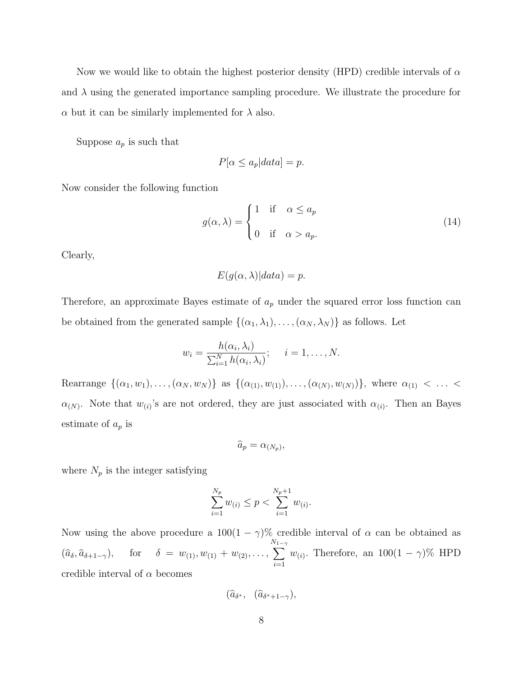Now we would like to obtain the highest posterior density (HPD) credible intervals of  $\alpha$ and  $\lambda$  using the generated importance sampling procedure. We illustrate the procedure for  $\alpha$  but it can be similarly implemented for  $\lambda$  also.

Suppose  $a_p$  is such that

$$
P[\alpha \le a_p|data] = p.
$$

Now consider the following function

$$
g(\alpha, \lambda) = \begin{cases} 1 & \text{if } \alpha \le a_p \\ 0 & \text{if } \alpha > a_p. \end{cases}
$$
 (14)

Clearly,

$$
E(g(\alpha, \lambda))|data) = p.
$$

Therefore, an approximate Bayes estimate of  $a_p$  under the squared error loss function can be obtained from the generated sample  $\{(\alpha_1, \lambda_1), \ldots, (\alpha_N, \lambda_N)\}\)$  as follows. Let

$$
w_i = \frac{h(\alpha_i, \lambda_i)}{\sum_{i=1}^N h(\alpha_i, \lambda_i)}; \quad i = 1, \dots, N.
$$

Rearrange  $\{(\alpha_1, w_1), \ldots, (\alpha_N, w_N)\}\$ as  $\{(\alpha_{(1)}, w_{(1)}), \ldots, (\alpha_{(N)}, w_{(N)})\}\$ , where  $\alpha_{(1)} < \ldots <$  $\alpha_{(N)}$ . Note that  $w_{(i)}$ 's are not ordered, they are just associated with  $\alpha_{(i)}$ . Then an Bayes estimate of  $a_p$  is

$$
\widehat{a}_p = \alpha_{(N_p)},
$$

where  $N_p$  is the integer satisfying

$$
\sum_{i=1}^{N_p} w_{(i)} \le p < \sum_{i=1}^{N_p+1} w_{(i)}.
$$

Now using the above procedure a  $100(1 - \gamma)$ % credible interval of  $\alpha$  can be obtained as  $(\widehat{a}_{\delta}, \widehat{a}_{\delta+1-\gamma}), \quad \text{for} \quad \delta = w_{(1)}, w_{(1)} + w_{(2)}, \ldots,$  $\sum_{n=1}^{N_1-1}$  $i=1$  $w_{(i)}$ . Therefore, an  $100(1-\gamma)\%$  HPD credible interval of  $\alpha$  becomes

$$
(\widehat{a}_{\delta^*}, \ \ (\widehat{a}_{\delta^*+1-\gamma}),
$$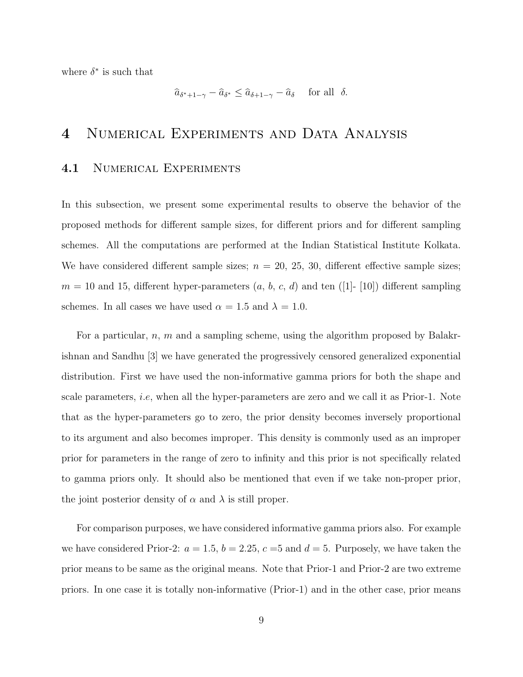where  $\delta^*$  is such that

$$
\widehat{a}_{\delta^*+1-\gamma} - \widehat{a}_{\delta^*} \le \widehat{a}_{\delta+1-\gamma} - \widehat{a}_{\delta} \quad \text{ for all } \delta.
$$

### 4 Numerical Experiments and Data Analysis

#### 4.1 NUMERICAL EXPERIMENTS

In this subsection, we present some experimental results to observe the behavior of the proposed methods for different sample sizes, for different priors and for different sampling schemes. All the computations are performed at the Indian Statistical Institute Kolkata. We have considered different sample sizes;  $n = 20, 25, 30,$  different effective sample sizes;  $m = 10$  and 15, different hyper-parameters  $(a, b, c, d)$  and ten ([1]- [10]) different sampling schemes. In all cases we have used  $\alpha = 1.5$  and  $\lambda = 1.0$ .

For a particular,  $n, m$  and a sampling scheme, using the algorithm proposed by Balakrishnan and Sandhu [3] we have generated the progressively censored generalized exponential distribution. First we have used the non-informative gamma priors for both the shape and scale parameters, i.e, when all the hyper-parameters are zero and we call it as Prior-1. Note that as the hyper-parameters go to zero, the prior density becomes inversely proportional to its argument and also becomes improper. This density is commonly used as an improper prior for parameters in the range of zero to infinity and this prior is not specifically related to gamma priors only. It should also be mentioned that even if we take non-proper prior, the joint posterior density of  $\alpha$  and  $\lambda$  is still proper.

For comparison purposes, we have considered informative gamma priors also. For example we have considered Prior-2:  $a = 1.5$ ,  $b = 2.25$ ,  $c = 5$  and  $d = 5$ . Purposely, we have taken the prior means to be same as the original means. Note that Prior-1 and Prior-2 are two extreme priors. In one case it is totally non-informative (Prior-1) and in the other case, prior means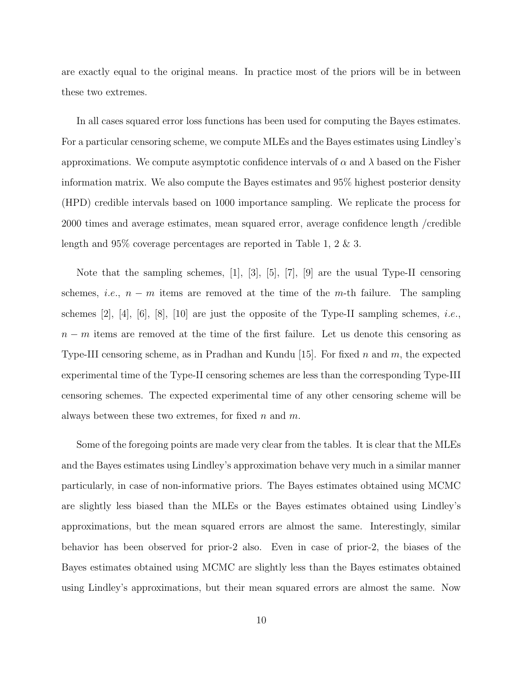are exactly equal to the original means. In practice most of the priors will be in between these two extremes.

In all cases squared error loss functions has been used for computing the Bayes estimates. For a particular censoring scheme, we compute MLEs and the Bayes estimates using Lindley's approximations. We compute asymptotic confidence intervals of  $\alpha$  and  $\lambda$  based on the Fisher information matrix. We also compute the Bayes estimates and 95% highest posterior density (HPD) credible intervals based on 1000 importance sampling. We replicate the process for 2000 times and average estimates, mean squared error, average confidence length /credible length and 95% coverage percentages are reported in Table 1, 2 & 3.

Note that the sampling schemes, [1], [3], [5], [7], [9] are the usual Type-II censoring schemes, *i.e.*,  $n - m$  items are removed at the time of the m-th failure. The sampling schemes [2], [4], [6], [8], [10] are just the opposite of the Type-II sampling schemes, *i.e.*,  $n - m$  items are removed at the time of the first failure. Let us denote this censoring as Type-III censoring scheme, as in Pradhan and Kundu [15]. For fixed  $n$  and  $m$ , the expected experimental time of the Type-II censoring schemes are less than the corresponding Type-III censoring schemes. The expected experimental time of any other censoring scheme will be always between these two extremes, for fixed  $n$  and  $m$ .

Some of the foregoing points are made very clear from the tables. It is clear that the MLEs and the Bayes estimates using Lindley's approximation behave very much in a similar manner particularly, in case of non-informative priors. The Bayes estimates obtained using MCMC are slightly less biased than the MLEs or the Bayes estimates obtained using Lindley's approximations, but the mean squared errors are almost the same. Interestingly, similar behavior has been observed for prior-2 also. Even in case of prior-2, the biases of the Bayes estimates obtained using MCMC are slightly less than the Bayes estimates obtained using Lindley's approximations, but their mean squared errors are almost the same. Now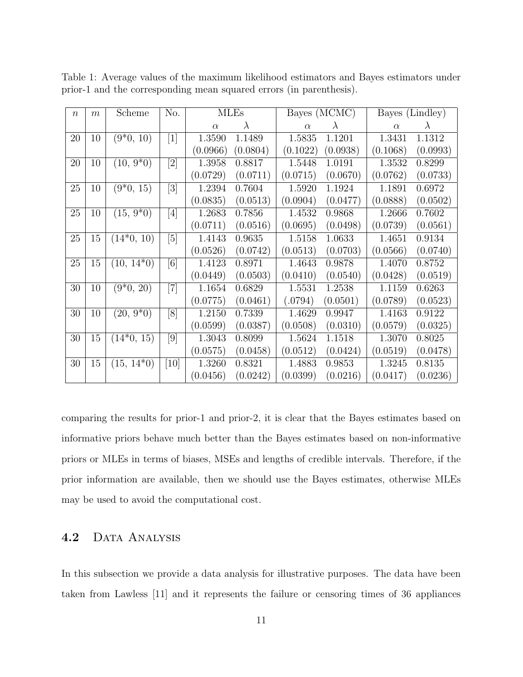| $\boldsymbol{n}$ | $\boldsymbol{m}$ | Scheme                    | No.                                                                                                                                                                                       | <b>MLEs</b> |           | Bayes (MCMC) |           | Bayes (Lindley) |           |
|------------------|------------------|---------------------------|-------------------------------------------------------------------------------------------------------------------------------------------------------------------------------------------|-------------|-----------|--------------|-----------|-----------------|-----------|
|                  |                  |                           |                                                                                                                                                                                           | $\alpha$    | $\lambda$ | $\alpha$     | $\lambda$ | $\alpha$        | $\lambda$ |
| 20               | 10               | $(9*0, 10)$               | $\lceil 1 \rceil$                                                                                                                                                                         | 1.3590      | 1.1489    | 1.5835       | 1.1201    | 1.3431          | 1.1312    |
|                  |                  |                           |                                                                                                                                                                                           | (0.0966)    | (0.0804)  | (0.1022)     | (0.0938)  | (0.1068)        | (0.0993)  |
| 20               | 10               | $(10, 9*0)$               | $[2] % \includegraphics[width=1\textwidth]{images/TrDiM-Architecture.png} \caption{The image shows the image shows a different image with a different image.} \label{TrDiM-Architecture}$ | 1.3958      | 0.8817    | 1.5448       | 1.0191    | 1.3532          | 0.8299    |
|                  |                  |                           |                                                                                                                                                                                           | (0.0729)    | (0.0711)  | (0.0715)     | (0.0670)  | (0.0762)        | (0.0733)  |
| 25               | 10               | $(9*0, 15)$               | [3]                                                                                                                                                                                       | 1.2394      | 0.7604    | 1.5920       | 1.1924    | 1.1891          | 0.6972    |
|                  |                  |                           |                                                                                                                                                                                           | (0.0835)    | (0.0513)  | (0.0904)     | (0.0477)  | (0.0888)        | (0.0502)  |
| 25               | 10               | $(15, 9*0)$               | $[4] % \includegraphics[width=1\textwidth]{images/TrDiM-Architecture.png} \caption{The figure shows the results of the estimators in the left hand side.} \label{TrDiM-Architecture}$     | 1.2683      | 0.7856    | 1.4532       | 0.9868    | 1.2666          | 0.7602    |
|                  |                  |                           |                                                                                                                                                                                           | (0.0711)    | (0.0516)  | (0.0695)     | (0.0498)  | (0.0739)        | (0.0561)  |
| 25               | 15               | $(14*0, 10)$              | [5]                                                                                                                                                                                       | 1.4143      | 0.9635    | 1.5158       | 1.0633    | 1.4651          | 0.9134    |
|                  |                  |                           |                                                                                                                                                                                           | (0.0526)    | (0.0742)  | (0.0513)     | (0.0703)  | (0.0566)        | (0.0740)  |
| 25               | 15               | $(10, 14*0)$              | [6]                                                                                                                                                                                       | 1.4123      | 0.8971    | 1.4643       | 0.9878    | 1.4070          | 0.8752    |
|                  |                  |                           |                                                                                                                                                                                           | (0.0449)    | (0.0503)  | (0.0410)     | (0.0540)  | (0.0428)        | (0.0519)  |
| 30               | 10               | $(9*0, 20)$               | $\left\lceil 7 \right\rceil$                                                                                                                                                              | 1.1654      | 0.6829    | 1.5531       | 1.2538    | 1.1159          | 0.6263    |
|                  |                  |                           |                                                                                                                                                                                           | (0.0775)    | (0.0461)  | (.0794)      | (0.0501)  | (0.0789)        | (0.0523)  |
| 30               | 10               | $(20, 9^{\overline{*}}0)$ | [8]                                                                                                                                                                                       | 1.2150      | 0.7339    | 1.4629       | 0.9947    | 1.4163          | 0.9122    |
|                  |                  |                           |                                                                                                                                                                                           | (0.0599)    | (0.0387)  | (0.0508)     | (0.0310)  | (0.0579)        | (0.0325)  |
| 30               | 15               | $(14*0, 15)$              | [9]                                                                                                                                                                                       | 1.3043      | 0.8099    | 1.5624       | 1.1518    | 1.3070          | 0.8025    |
|                  |                  |                           |                                                                                                                                                                                           | (0.0575)    | (0.0458)  | (0.0512)     | (0.0424)  | (0.0519)        | (0.0478)  |
| 30               | 15               | $(15, 14*0)$              | [10]                                                                                                                                                                                      | 1.3260      | 0.8321    | 1.4883       | 0.9853    | 1.3245          | 0.8135    |
|                  |                  |                           |                                                                                                                                                                                           | (0.0456)    | (0.0242)  | (0.0399)     | (0.0216)  | (0.0417)        | (0.0236)  |

Table 1: Average values of the maximum likelihood estimators and Bayes estimators under prior-1 and the corresponding mean squared errors (in parenthesis).

comparing the results for prior-1 and prior-2, it is clear that the Bayes estimates based on informative priors behave much better than the Bayes estimates based on non-informative priors or MLEs in terms of biases, MSEs and lengths of credible intervals. Therefore, if the prior information are available, then we should use the Bayes estimates, otherwise MLEs may be used to avoid the computational cost.

#### 4.2 DATA ANALYSIS

In this subsection we provide a data analysis for illustrative purposes. The data have been taken from Lawless [11] and it represents the failure or censoring times of 36 appliances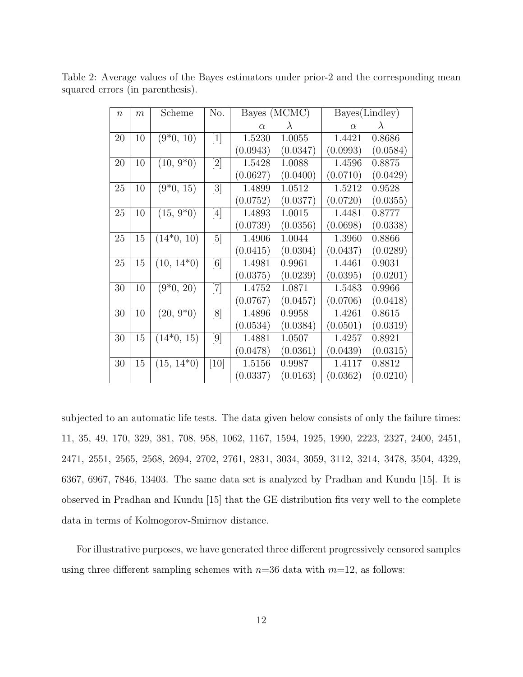| $\eta$ | m  | Scheme                        | No.                          | Bayes (MCMC) |           | Bayes(Lindley) |           |
|--------|----|-------------------------------|------------------------------|--------------|-----------|----------------|-----------|
|        |    |                               |                              | $\alpha$     | $\lambda$ | $\alpha$       | $\lambda$ |
| 20     | 10 | $(9*0, 10)$                   | $\lceil 1 \rceil$            | 1.5230       | 1.0055    | 1.4421         | 0.8686    |
|        |    |                               |                              | (0.0943)     | (0.0347)  | (0.0993)       | (0.0584)  |
| 20     | 10 | $(10, 9*0)$                   | [2]                          | 1.5428       | 1.0088    | 1.4596         | 0.8875    |
|        |    |                               |                              | (0.0627)     | (0.0400)  | (0.0710)       | (0.0429)  |
| 25     | 10 | $\overline{(9^*0, 15)}$       | $\left\lceil 3 \right\rceil$ | 1.4899       | 1.0512    | 1.5212         | 0.9528    |
|        |    |                               |                              | (0.0752)     | (0.0377)  | (0.0720)       | (0.0355)  |
| 25     | 10 | $(15, 9^{\ast} \overline{0})$ | [4]                          | 1.4893       | 1.0015    | 1.4481         | 0.8777    |
|        |    |                               |                              | (0.0739)     | (0.0356)  | (0.0698)       | (0.0338)  |
| 25     | 15 | $(14*0, 10)$                  | $\lceil 5 \rceil$            | 1.4906       | 1.0044    | 1.3960         | 0.8866    |
|        |    |                               |                              | (0.0415)     | (0.0304)  | (0.0437)       | (0.0289)  |
| 25     | 15 | $(10, 14*0)$                  | [6]                          | 1.4981       | 0.9961    | 1.4461         | 0.9031    |
|        |    |                               |                              | (0.0375)     | (0.0239)  | (0.0395)       | (0.0201)  |
| 30     | 10 | $(9*0, 20)$                   | $[7]$                        | 1.4752       | 1.0871    | 1.5483         | 0.9966    |
|        |    |                               |                              | (0.0767)     | (0.0457)  | (0.0706)       | (0.0418)  |
| 30     | 10 | $(20, 9^*0)$                  | [8]                          | 1.4896       | 0.9958    | 1.4261         | 0.8615    |
|        |    |                               |                              | (0.0534)     | (0.0384)  | (0.0501)       | (0.0319)  |
| 30     | 15 | $(14*0, 15)$                  | [9]                          | 1.4881       | 1.0507    | 1.4257         | 0.8921    |
|        |    |                               |                              | (0.0478)     | (0.0361)  | (0.0439)       | (0.0315)  |
| 30     | 15 | $(15, 14*0)$                  | [10]                         | 1.5156       | 0.9987    | 1.4117         | 0.8812    |
|        |    |                               |                              | (0.0337)     | (0.0163)  | (0.0362)       | (0.0210)  |

Table 2: Average values of the Bayes estimators under prior-2 and the corresponding mean squared errors (in parenthesis).

subjected to an automatic life tests. The data given below consists of only the failure times: 11, 35, 49, 170, 329, 381, 708, 958, 1062, 1167, 1594, 1925, 1990, 2223, 2327, 2400, 2451, 2471, 2551, 2565, 2568, 2694, 2702, 2761, 2831, 3034, 3059, 3112, 3214, 3478, 3504, 4329, 6367, 6967, 7846, 13403. The same data set is analyzed by Pradhan and Kundu [15]. It is observed in Pradhan and Kundu [15] that the GE distribution fits very well to the complete data in terms of Kolmogorov-Smirnov distance.

For illustrative purposes, we have generated three different progressively censored samples using three different sampling schemes with  $n=36$  data with  $m=12$ , as follows: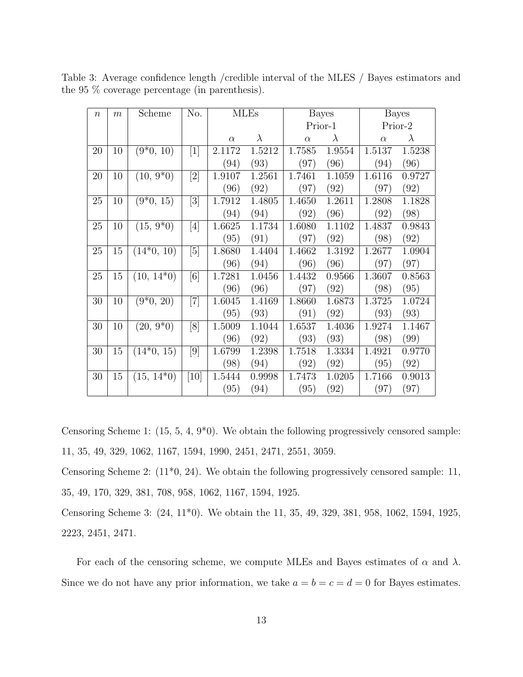| $\boldsymbol{n}$ | $\boldsymbol{m}$ | Scheme                   | No.                                                                                                                                                                                   | <b>MLEs</b>         |           | <b>Bayes</b> |           | Bayes     |           |
|------------------|------------------|--------------------------|---------------------------------------------------------------------------------------------------------------------------------------------------------------------------------------|---------------------|-----------|--------------|-----------|-----------|-----------|
|                  |                  |                          |                                                                                                                                                                                       |                     |           | Prior-1      |           |           | Prior-2   |
|                  |                  |                          |                                                                                                                                                                                       | $\alpha$            | $\lambda$ | $\alpha$     | $\lambda$ | $\alpha$  | $\lambda$ |
| 20               | 10               | $(9*0, 10)$              | $\lceil 1 \rceil$                                                                                                                                                                     | 2.1172              | 1.5212    | 1.7585       | 1.9554    | 1.5137    | 1.5238    |
|                  |                  |                          |                                                                                                                                                                                       | (94)                | (93)      | (97)         | (96)      | (94)      | (96)      |
| 20               | 10               | $(10, 9^*0)$             |                                                                                                                                                                                       | 1.9107              | 1.2561    | 1.7461       | 1.1059    | 1.6116    | 0.9727    |
|                  |                  |                          |                                                                                                                                                                                       | (96)                | (92)      | (97)         | (92)      | $^{'}97)$ | (92)      |
| 25               | 10               | $(9*0, 15)$              | $\overline{3}$                                                                                                                                                                        | $\overline{1.7912}$ | 1.4805    | 1.4650       | 1.2611    | 1.2808    | 1.1828    |
|                  |                  |                          |                                                                                                                                                                                       | (94)                | (94)      | (92)         | (96)      | (92)      | (98)      |
| 25               | 10               | $(15, 9*0)$              | $[4] % \includegraphics[width=1\textwidth]{images/TrDiM-Architecture.png} \caption{The figure shows the results of the estimators in the left hand side.} \label{TrDiM-Architecture}$ | 1.6625              | 1.1734    | 1.6080       | 1.1102    | 1.4837    | 0.9843    |
|                  |                  |                          |                                                                                                                                                                                       | (95)                | (91)      | (97)         | (92)      | (98)      | (92)      |
| 25               | 15               | $(14*0, 10)$             | [5]                                                                                                                                                                                   | 1.8680              | 1.4404    | 1.4662       | 1.3192    | 1.2677    | 1.0904    |
|                  |                  |                          |                                                                                                                                                                                       | (96)                | (94)      | (96)         | (96)      | (97)      | (97)      |
| 25               | 15               | $(10, 14*0)$             | [6]                                                                                                                                                                                   | 1.7281              | 1.0456    | 1.4432       | 0.9566    | 1.3607    | 0.8563    |
|                  |                  |                          |                                                                                                                                                                                       | (96)                | (96)      | (97)         | (92)      | (98)      | (95)      |
| 30               | 10               | $(9*0, 20)$              | $\left\lceil 7 \right\rceil$                                                                                                                                                          | 1.6045              | 1.4169    | 1.8660       | 1.6873    | 1.3725    | 1.0724    |
|                  |                  |                          |                                                                                                                                                                                       | (95)                | (93)      | (91)         | (92)      | (93)      | (93)      |
| 30               | 10               | $(20, 9^*0)$             | [8]                                                                                                                                                                                   | 1.5009              | 1.1044    | 1.6537       | 1.4036    | 1.9274    | 1.1467    |
|                  |                  |                          |                                                                                                                                                                                       | (96)                | (92)      | (93)         | (93)      | (98)      | (99)      |
| 30               | 15               | $\overline{(14^*0, 15)}$ | [9]                                                                                                                                                                                   | 1.6799              | 1.2398    | 1.7518       | 1.3334    | 1.4921    | 0.9770    |
|                  |                  |                          |                                                                                                                                                                                       | (98)                | (94)      | (92)         | (92)      | (95)      | (92)      |
| 30               | 15               | $(15, 14^*0)$            | [10]                                                                                                                                                                                  | 1.5444              | 0.9998    | 1.7473       | 1.0205    | 1.7166    | 0.9013    |
|                  |                  |                          |                                                                                                                                                                                       | (95)                | (94)      | (95)         | (92)      | $^{'}97)$ | (97)      |

Table 3: Average confidence length /credible interval of the MLES / Bayes estimators and the 95 % coverage percentage (in parenthesis).

Censoring Scheme 1: (15, 5, 4, 9\*0). We obtain the following progressively censored sample: 11, 35, 49, 329, 1062, 1167, 1594, 1990, 2451, 2471, 2551, 3059.

Censoring Scheme 2: (11\*0, 24). We obtain the following progressively censored sample: 11, 35, 49, 170, 329, 381, 708, 958, 1062, 1167, 1594, 1925.

Censoring Scheme 3: (24, 11\*0). We obtain the 11, 35, 49, 329, 381, 958, 1062, 1594, 1925, 2223, 2451, 2471.

For each of the censoring scheme, we compute MLEs and Bayes estimates of  $\alpha$  and  $\lambda$ . Since we do not have any prior information, we take  $a = b = c = d = 0$  for Bayes estimates.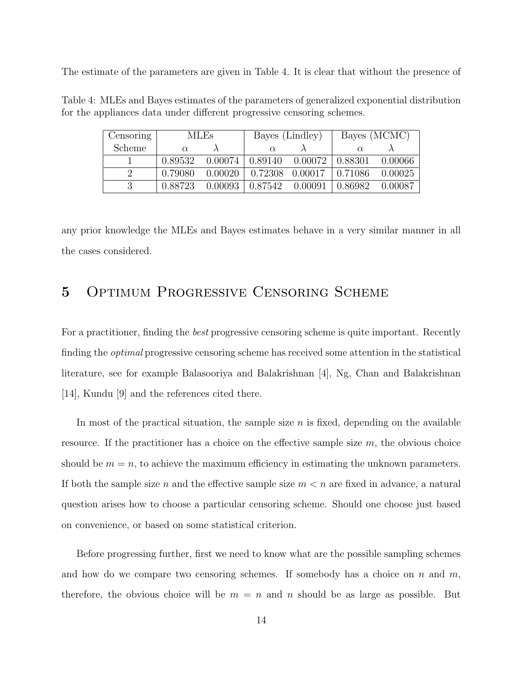The estimate of the parameters are given in Table 4. It is clear that without the presence of

| Censoring | <b>MLEs</b> |             | Bayes (Lindley)               |                 | Bayes (MCMC) |           |
|-----------|-------------|-------------|-------------------------------|-----------------|--------------|-----------|
| Scheme    | $\alpha$    |             |                               |                 |              |           |
|           | 0.89532     |             | $0.00074$   $0.89140$ 0.00072 |                 | 0.88301      | - 0.00066 |
| $\Omega$  | 0.79080     | $0.00020$ 1 |                               | 0.72308 0.00017 | 0.71086      | 0.00025   |
| 2         | 0.88723     | 0.00093     | 0.87542                       | 0.00091         | 0.86982      | 0.00087   |

Table 4: MLEs and Bayes estimates of the parameters of generalized exponential distribution for the appliances data under different progressive censoring schemes.

any prior knowledge the MLEs and Bayes estimates behave in a very similar manner in all the cases considered.

### 5 Optimum Progressive Censoring Scheme

For a practitioner, finding the *best* progressive censoring scheme is quite important. Recently finding the optimal progressive censoring scheme has received some attention in the statistical literature, see for example Balasooriya and Balakrishnan [4], Ng, Chan and Balakrishnan [14], Kundu [9] and the references cited there.

In most of the practical situation, the sample size  $n$  is fixed, depending on the available resource. If the practitioner has a choice on the effective sample size  $m$ , the obvious choice should be  $m = n$ , to achieve the maximum efficiency in estimating the unknown parameters. If both the sample size n and the effective sample size  $m < n$  are fixed in advance, a natural question arises how to choose a particular censoring scheme. Should one choose just based on convenience, or based on some statistical criterion.

Before progressing further, first we need to know what are the possible sampling schemes and how do we compare two censoring schemes. If somebody has a choice on n and  $m$ , therefore, the obvious choice will be  $m = n$  and n should be as large as possible. But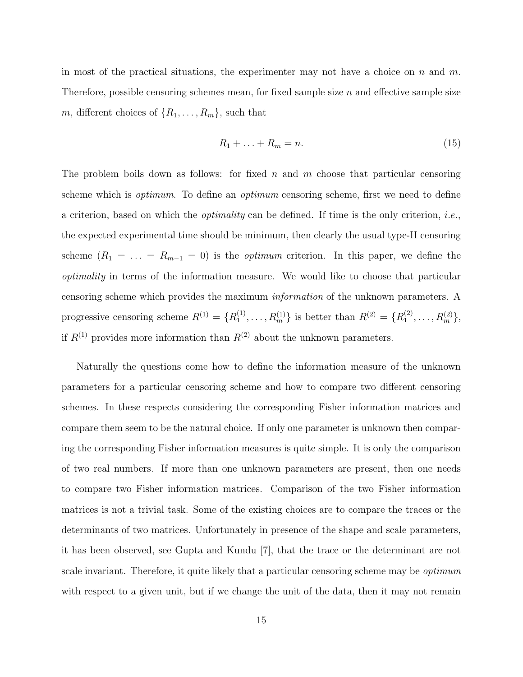in most of the practical situations, the experimenter may not have a choice on n and m. Therefore, possible censoring schemes mean, for fixed sample size  $n$  and effective sample size m, different choices of  $\{R_1, \ldots, R_m\}$ , such that

$$
R_1 + \ldots + R_m = n. \tag{15}
$$

The problem boils down as follows: for fixed n and m choose that particular censoring scheme which is *optimum*. To define an *optimum* censoring scheme, first we need to define a criterion, based on which the optimality can be defined. If time is the only criterion, i.e., the expected experimental time should be minimum, then clearly the usual type-II censoring scheme  $(R_1 = \ldots = R_{m-1} = 0)$  is the *optimum* criterion. In this paper, we define the optimality in terms of the information measure. We would like to choose that particular censoring scheme which provides the maximum information of the unknown parameters. A progressive censoring scheme  $R^{(1)} = \{R_1^{(1)}\}$  $\{R_1^{(1)}, \ldots, R_m^{(1)}\}$  is better than  $R^{(2)} = \{R_1^{(2)}\}$  $\{A_1^{(2)},\ldots,R_m^{(2)}\},\$ if  $R^{(1)}$  provides more information than  $R^{(2)}$  about the unknown parameters.

Naturally the questions come how to define the information measure of the unknown parameters for a particular censoring scheme and how to compare two different censoring schemes. In these respects considering the corresponding Fisher information matrices and compare them seem to be the natural choice. If only one parameter is unknown then comparing the corresponding Fisher information measures is quite simple. It is only the comparison of two real numbers. If more than one unknown parameters are present, then one needs to compare two Fisher information matrices. Comparison of the two Fisher information matrices is not a trivial task. Some of the existing choices are to compare the traces or the determinants of two matrices. Unfortunately in presence of the shape and scale parameters, it has been observed, see Gupta and Kundu [7], that the trace or the determinant are not scale invariant. Therefore, it quite likely that a particular censoring scheme may be *optimum* with respect to a given unit, but if we change the unit of the data, then it may not remain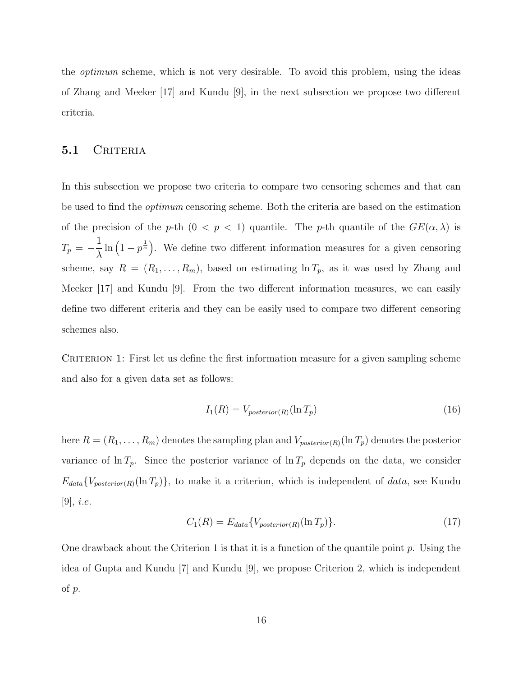the optimum scheme, which is not very desirable. To avoid this problem, using the ideas of Zhang and Meeker [17] and Kundu [9], in the next subsection we propose two different criteria.

#### 5.1 CRITERIA

In this subsection we propose two criteria to compare two censoring schemes and that can be used to find the *optimum* censoring scheme. Both the criteria are based on the estimation of the precision of the p-th  $(0 < p < 1)$  quantile. The p-th quantile of the  $GE(\alpha, \lambda)$  is  $T_p = -\frac{1}{\lambda}$  $\frac{1}{\lambda} \ln \left(1 - p^{\frac{1}{\alpha}}\right)$ . We define two different information measures for a given censoring scheme, say  $R = (R_1, \ldots, R_m)$ , based on estimating  $\ln T_p$ , as it was used by Zhang and Meeker [17] and Kundu [9]. From the two different information measures, we can easily define two different criteria and they can be easily used to compare two different censoring schemes also.

CRITERION 1: First let us define the first information measure for a given sampling scheme and also for a given data set as follows:

$$
I_1(R) = V_{posterior(R)}(\ln T_p) \tag{16}
$$

here  $R = (R_1, \ldots, R_m)$  denotes the sampling plan and  $V_{posterior(R)}(\ln T_p)$  denotes the posterior variance of  $\ln T_p$ . Since the posterior variance of  $\ln T_p$  depends on the data, we consider  $E_{data}\{V_{posterior(R)}(\ln T_p)\}\$ , to make it a criterion, which is independent of data, see Kundu [9], i.e.

$$
C_1(R) = E_{data} \{ V_{posterior(R)}(\ln T_p) \}.
$$
 (17)

One drawback about the Criterion 1 is that it is a function of the quantile point  $p$ . Using the idea of Gupta and Kundu [7] and Kundu [9], we propose Criterion 2, which is independent of p.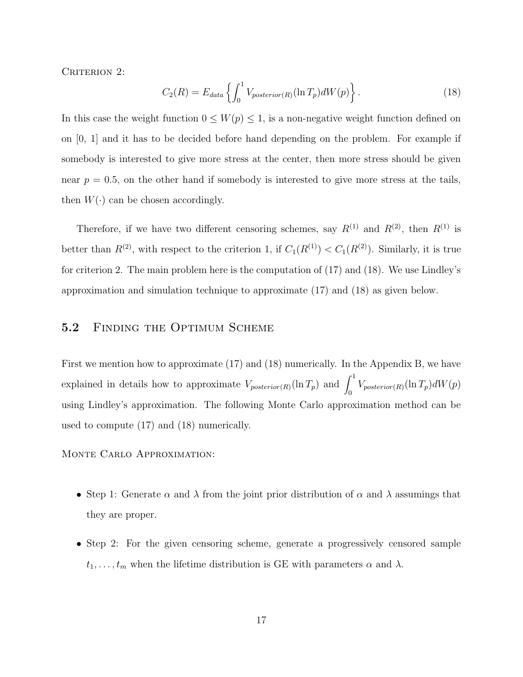CRITERION 2:

$$
C_2(R) = E_{data} \left\{ \int_0^1 V_{posterior(R)}(\ln T_p)dW(p) \right\}.
$$
 (18)

In this case the weight function  $0 \leq W(p) \leq 1$ , is a non-negative weight function defined on on [0, 1] and it has to be decided before hand depending on the problem. For example if somebody is interested to give more stress at the center, then more stress should be given near  $p = 0.5$ , on the other hand if somebody is interested to give more stress at the tails, then  $W(\cdot)$  can be chosen accordingly.

Therefore, if we have two different censoring schemes, say  $R^{(1)}$  and  $R^{(2)}$ , then  $R^{(1)}$  is better than  $R^{(2)}$ , with respect to the criterion 1, if  $C_1(R^{(1)}) < C_1(R^{(2)})$ . Similarly, it is true for criterion 2. The main problem here is the computation of (17) and (18). We use Lindley's approximation and simulation technique to approximate (17) and (18) as given below.

#### 5.2 FINDING THE OPTIMUM SCHEME

First we mention how to approximate (17) and (18) numerically. In the Appendix B, we have explained in details how to approximate  $V_{posterior(R)}(\ln T_p)$  and  $\int_0^1 V_{posterior(R)}(\ln T_p)dW(p)$ using Lindley's approximation. The following Monte Carlo approximation method can be used to compute (17) and (18) numerically.

Monte Carlo Approximation:

- Step 1: Generate  $\alpha$  and  $\lambda$  from the joint prior distribution of  $\alpha$  and  $\lambda$  assumings that they are proper.
- Step 2: For the given censoring scheme, generate a progressively censored sample  $t_1, \ldots, t_m$  when the lifetime distribution is GE with parameters  $\alpha$  and  $\lambda$ .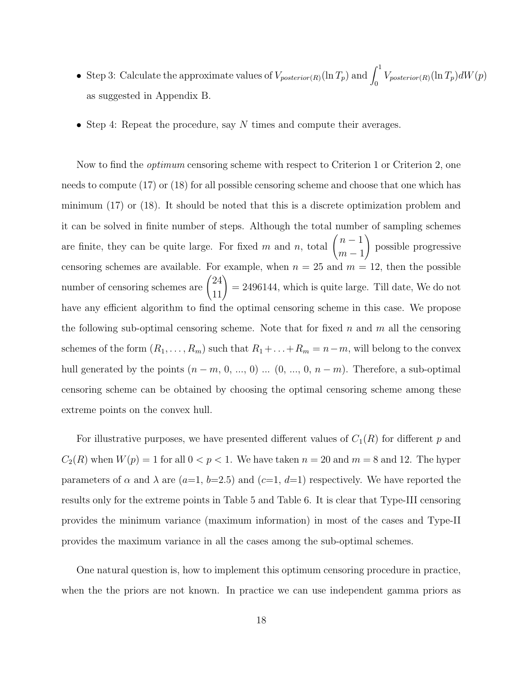- Step 3: Calculate the approximate values of  $V_{posterior(R)}(\ln T_p)$  and  $\int_0^1 V_{posterior(R)}(\ln T_p) dW(p)$ as suggested in Appendix B.
- Step 4: Repeat the procedure, say  $N$  times and compute their averages.

Now to find the *optimum* censoring scheme with respect to Criterion 1 or Criterion 2, one needs to compute (17) or (18) for all possible censoring scheme and choose that one which has minimum (17) or (18). It should be noted that this is a discrete optimization problem and it can be solved in finite number of steps. Although the total number of sampling schemes are finite, they can be quite large. For fixed m and n, total  $\binom{n-1}{1}$  $m-1$ ! possible progressive censoring schemes are available. For example, when  $n = 25$  and  $m = 12$ , then the possible number of censoring schemes are  $\binom{24}{11}$  $= 2496144$ , which is quite large. Till date, We do not have any efficient algorithm to find the optimal censoring scheme in this case. We propose the following sub-optimal censoring scheme. Note that for fixed  $n$  and  $m$  all the censoring schemes of the form  $(R_1, \ldots, R_m)$  such that  $R_1 + \ldots + R_m = n-m$ , will belong to the convex hull generated by the points  $(n - m, 0, ..., 0)$  ...  $(0, ..., 0, n - m)$ . Therefore, a sub-optimal censoring scheme can be obtained by choosing the optimal censoring scheme among these extreme points on the convex hull.

For illustrative purposes, we have presented different values of  $C_1(R)$  for different p and  $C_2(R)$  when  $W(p) = 1$  for all  $0 < p < 1$ . We have taken  $n = 20$  and  $m = 8$  and 12. The hyper parameters of  $\alpha$  and  $\lambda$  are  $(a=1, b=2.5)$  and  $(c=1, d=1)$  respectively. We have reported the results only for the extreme points in Table 5 and Table 6. It is clear that Type-III censoring provides the minimum variance (maximum information) in most of the cases and Type-II provides the maximum variance in all the cases among the sub-optimal schemes.

One natural question is, how to implement this optimum censoring procedure in practice, when the the priors are not known. In practice we can use independent gamma priors as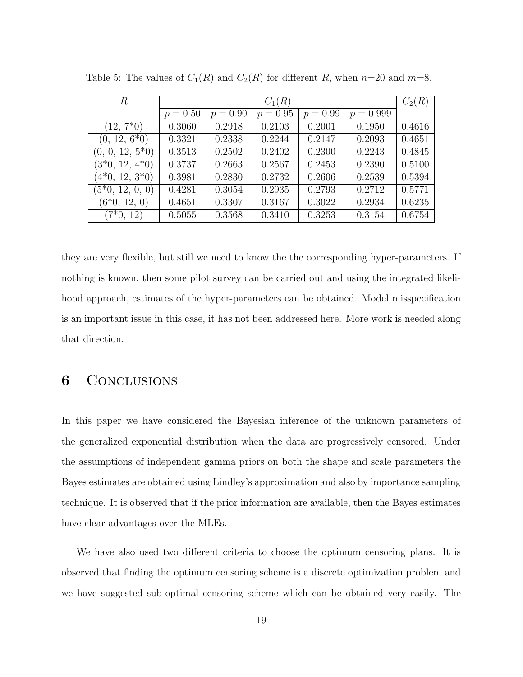| R                  | $C_1(R)$   |            |            |            |             |        |
|--------------------|------------|------------|------------|------------|-------------|--------|
|                    | $p = 0.50$ | $p = 0.90$ | $p = 0.95$ | $p = 0.99$ | $p = 0.999$ |        |
| $(12, 7*0)$        | 0.3060     | 0.2918     | 0.2103     | 0.2001     | 0.1950      | 0.4616 |
| $(0, 12, 6^*0)$    | 0.3321     | 0.2338     | 0.2244     | 0.2147     | 0.2093      | 0.4651 |
| $(0, 0, 12, 5^*0)$ | 0.3513     | 0.2502     | 0.2402     | 0.2300     | 0.2243      | 0.4845 |
| $(3*0, 12, 4*0)$   | 0.3737     | 0.2663     | 0.2567     | 0.2453     | 0.2390      | 0.5100 |
| $(4*0, 12, 3*0)$   | 0.3981     | 0.2830     | 0.2732     | 0.2606     | 0.2539      | 0.5394 |
| $(5*0, 12, 0, 0)$  | 0.4281     | 0.3054     | 0.2935     | 0.2793     | 0.2712      | 0.5771 |
| $(6*0, 12, 0)$     | 0.4651     | 0.3307     | 0.3167     | 0.3022     | 0.2934      | 0.6235 |
| $(7*0, 12)$        | 0.5055     | 0.3568     | 0.3410     | 0.3253     | 0.3154      | 0.6754 |

Table 5: The values of  $C_1(R)$  and  $C_2(R)$  for different R, when  $n=20$  and  $m=8$ .

they are very flexible, but still we need to know the the corresponding hyper-parameters. If nothing is known, then some pilot survey can be carried out and using the integrated likelihood approach, estimates of the hyper-parameters can be obtained. Model misspecification is an important issue in this case, it has not been addressed here. More work is needed along that direction.

### 6 Conclusions

In this paper we have considered the Bayesian inference of the unknown parameters of the generalized exponential distribution when the data are progressively censored. Under the assumptions of independent gamma priors on both the shape and scale parameters the Bayes estimates are obtained using Lindley's approximation and also by importance sampling technique. It is observed that if the prior information are available, then the Bayes estimates have clear advantages over the MLEs.

We have also used two different criteria to choose the optimum censoring plans. It is observed that finding the optimum censoring scheme is a discrete optimization problem and we have suggested sub-optimal censoring scheme which can be obtained very easily. The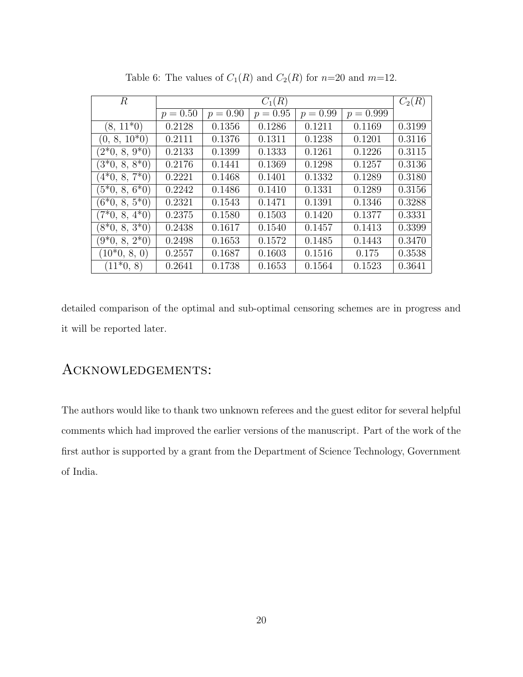| $\boldsymbol{R}$ | $C_1(R)$   |            |            |            |             |        |
|------------------|------------|------------|------------|------------|-------------|--------|
|                  | $p = 0.50$ | $p = 0.90$ | $p = 0.95$ | $p = 0.99$ | $p = 0.999$ |        |
| $(8, 11*0)$      | 0.2128     | 0.1356     | 0.1286     | 0.1211     | 0.1169      | 0.3199 |
| $(0, 8, 10^*0)$  | 0.2111     | 0.1376     | 0.1311     | 0.1238     | 0.1201      | 0.3116 |
| $(2*0, 8, 9*0)$  | 0.2133     | 0.1399     | 0.1333     | 0.1261     | 0.1226      | 0.3115 |
| $(3*0, 8, 8*0)$  | 0.2176     | 0.1441     | 0.1369     | 0.1298     | 0.1257      | 0.3136 |
| $(4*0, 8, 7*0)$  | 0.2221     | 0.1468     | 0.1401     | 0.1332     | 0.1289      | 0.3180 |
| $(5*0, 8, 6*0)$  | 0.2242     | 0.1486     | 0.1410     | 0.1331     | 0.1289      | 0.3156 |
| $(6*0, 8, 5*0)$  | 0.2321     | 0.1543     | 0.1471     | 0.1391     | 0.1346      | 0.3288 |
| $(7*0, 8, 4*0)$  | 0.2375     | 0.1580     | 0.1503     | 0.1420     | 0.1377      | 0.3331 |
| $(8*0, 8, 3*0)$  | 0.2438     | 0.1617     | 0.1540     | 0.1457     | 0.1413      | 0.3399 |
| $(9*0, 8, 2*0)$  | 0.2498     | 0.1653     | 0.1572     | 0.1485     | 0.1443      | 0.3470 |
| $(10^*0, 8, 0)$  | 0.2557     | 0.1687     | 0.1603     | 0.1516     | 0.175       | 0.3538 |
| $(11*0, 8)$      | 0.2641     | 0.1738     | 0.1653     | 0.1564     | 0.1523      | 0.3641 |

Table 6: The values of  $C_1(R)$  and  $C_2(R)$  for  $n=20$  and  $m=12$ .

detailed comparison of the optimal and sub-optimal censoring schemes are in progress and it will be reported later.

### Acknowledgements:

The authors would like to thank two unknown referees and the guest editor for several helpful comments which had improved the earlier versions of the manuscript. Part of the work of the first author is supported by a grant from the Department of Science Technology, Government of India.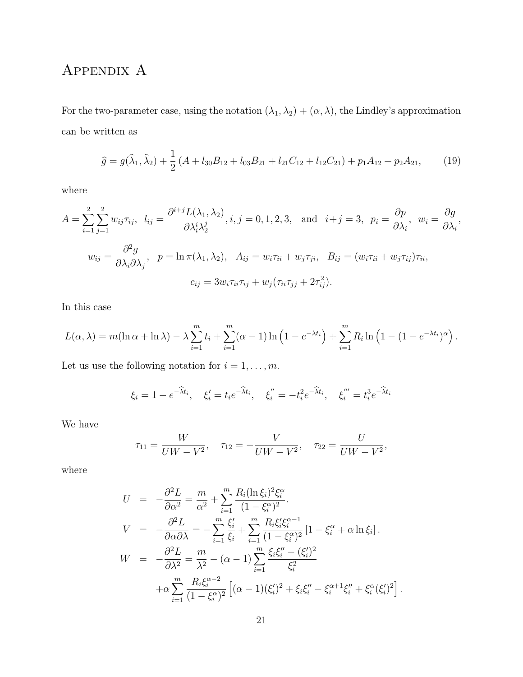# APPENDIX A

For the two-parameter case, using the notation  $(\lambda_1, \lambda_2) + (\alpha, \lambda)$ , the Lindley's approximation can be written as

$$
\hat{g} = g(\hat{\lambda}_1, \hat{\lambda}_2) + \frac{1}{2} (A + l_{30}B_{12} + l_{03}B_{21} + l_{21}C_{12} + l_{12}C_{21}) + p_1 A_{12} + p_2 A_{21},
$$
(19)

where

$$
A = \sum_{i=1}^{2} \sum_{j=1}^{2} w_{ij} \tau_{ij}, \quad l_{ij} = \frac{\partial^{i+j} L(\lambda_1, \lambda_2)}{\partial \lambda_i^i \lambda_2^j}, i, j = 0, 1, 2, 3, \quad \text{and} \quad i+j = 3, \quad p_i = \frac{\partial p}{\partial \lambda_i}, \quad w_i = \frac{\partial g}{\partial \lambda_i},
$$

$$
w_{ij} = \frac{\partial^2 g}{\partial \lambda_i \partial \lambda_j}, \quad p = \ln \pi(\lambda_1, \lambda_2), \quad A_{ij} = w_i \tau_{ii} + w_j \tau_{ji}, \quad B_{ij} = (w_i \tau_{ii} + w_j \tau_{ij}) \tau_{ii},
$$

$$
c_{ij} = 3w_i \tau_{ii} \tau_{ij} + w_j (\tau_{ii} \tau_{jj} + 2\tau_{ij}^2).
$$

In this case

$$
L(\alpha, \lambda) = m(\ln \alpha + \ln \lambda) - \lambda \sum_{i=1}^{m} t_i + \sum_{i=1}^{m} (\alpha - 1) \ln (1 - e^{-\lambda t_i}) + \sum_{i=1}^{m} R_i \ln (1 - (1 - e^{-\lambda t_i})^{\alpha}).
$$

Let us use the following notation for  $i=1,\ldots,m.$ 

$$
\xi_i = 1 - e^{-\hat{\lambda} t_i}, \quad \xi'_i = t_i e^{-\hat{\lambda} t_i}, \quad \xi''_i = -t_i^2 e^{-\hat{\lambda} t_i}, \quad \xi'''_i = t_i^3 e^{-\hat{\lambda} t_i}
$$

We have

$$
\tau_{11} = \frac{W}{UW - V^2}, \quad \tau_{12} = -\frac{V}{UW - V^2}, \quad \tau_{22} = \frac{U}{UW - V^2},
$$

where

$$
U = -\frac{\partial^2 L}{\partial \alpha^2} = \frac{m}{\alpha^2} + \sum_{i=1}^m \frac{R_i (\ln \xi_i)^2 \xi_i^{\alpha}}{(1 - \xi_i^{\alpha})^2}.
$$
  
\n
$$
V = -\frac{\partial^2 L}{\partial \alpha \partial \lambda} = -\sum_{i=1}^m \frac{\xi_i'}{\xi_i} + \sum_{i=1}^m \frac{R_i \xi_i' \xi_i^{\alpha - 1}}{(1 - \xi_i^{\alpha})^2} [1 - \xi_i^{\alpha} + \alpha \ln \xi_i].
$$
  
\n
$$
W = -\frac{\partial^2 L}{\partial \lambda^2} = \frac{m}{\lambda^2} - (\alpha - 1) \sum_{i=1}^m \frac{\xi_i \xi_i'' - (\xi_i')^2}{\xi_i^2} + \alpha \sum_{i=1}^m \frac{R_i \xi_i^{\alpha - 2}}{(1 - \xi_i^{\alpha})^2} [(\alpha - 1)(\xi_i')^2 + \xi_i \xi_i'' - \xi_i^{\alpha + 1} \xi_i'' + \xi_i^{\alpha} (\xi_i')^2].
$$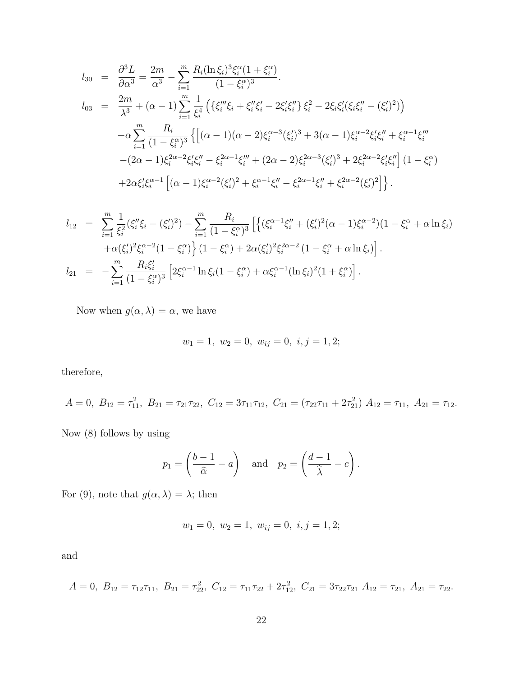$$
l_{30} = \frac{\partial^3 L}{\partial \alpha^3} = \frac{2m}{\alpha^3} - \sum_{i=1}^m \frac{R_i (\ln \xi_i)^3 \xi_i^{\alpha} (1 + \xi_i^{\alpha})}{(1 - \xi_i^{\alpha})^3}.
$$
  
\n
$$
l_{03} = \frac{2m}{\lambda^3} + (\alpha - 1) \sum_{i=1}^m \frac{1}{\xi_i^4} \left( \{ \xi_i''' \xi_i + \xi_i'' \xi_i' - 2 \xi_i' \xi_i'' \} \xi_i^2 - 2 \xi_i \xi_i' (\xi_i \xi_i'' - (\xi_i')^2) \right)
$$
  
\n
$$
- \alpha \sum_{i=1}^m \frac{R_i}{(1 - \xi_i^{\alpha})^3} \left\{ \left[ (\alpha - 1)(\alpha - 2) \xi_i^{\alpha - 3} (\xi_i')^3 + 3(\alpha - 1) \xi_i^{\alpha - 2} \xi_i' \xi_i'' + \xi_i^{\alpha - 1} \xi_i''' \right. \right.
$$
  
\n
$$
- (2\alpha - 1) \xi_i^{2\alpha - 2} \xi_i' \xi_i'' - \xi_i^{2\alpha - 1} \xi_i''' + (2\alpha - 2) \xi_i^{2\alpha - 3} (\xi_i')^3 + 2 \xi_i^{2\alpha - 2} \xi_i' \xi_i'' \right] (1 - \xi_i^{\alpha})
$$
  
\n
$$
+ 2\alpha \xi_i' \xi_i^{\alpha - 1} \left[ (\alpha - 1) \xi_i^{\alpha - 2} (\xi_i')^2 + \xi_i^{\alpha - 1} \xi_i'' - \xi_i^{2\alpha - 1} \xi_i'' + \xi_i^{2\alpha - 2} (\xi_i')^2 \right] \}.
$$

$$
l_{12} = \sum_{i=1}^{m} \frac{1}{\xi_i^2} (\xi_i'' \xi_i - (\xi_i')^2) - \sum_{i=1}^{m} \frac{R_i}{(1 - \xi_i^{\alpha})^3} \left[ \left\{ (\xi_i^{\alpha - 1} \xi_i'' + (\xi_i')^2 (\alpha - 1) \xi_i^{\alpha - 2}) (1 - \xi_i^{\alpha} + \alpha \ln \xi_i) \right\} \right. \\ \left. + \alpha (\xi_i')^2 \xi_i^{\alpha - 2} (1 - \xi_i^{\alpha}) \right\} (1 - \xi_i^{\alpha}) + 2\alpha (\xi_i')^2 \xi_i^{2\alpha - 2} (1 - \xi_i^{\alpha} + \alpha \ln \xi_i) \right].
$$
  

$$
l_{21} = -\sum_{i=1}^{m} \frac{R_i \xi_i'}{(1 - \xi_i^{\alpha})^3} \left[ 2\xi_i^{\alpha - 1} \ln \xi_i (1 - \xi_i^{\alpha}) + \alpha \xi_i^{\alpha - 1} (\ln \xi_i)^2 (1 + \xi_i^{\alpha}) \right].
$$

Now when  $g(\alpha, \lambda) = \alpha,$  we have

$$
w_1 = 1, w_2 = 0, w_{ij} = 0, i, j = 1, 2;
$$

therefore,

$$
A = 0, B_{12} = \tau_{11}^2, B_{21} = \tau_{21}\tau_{22}, C_{12} = 3\tau_{11}\tau_{12}, C_{21} = (\tau_{22}\tau_{11} + 2\tau_{21}^2) A_{12} = \tau_{11}, A_{21} = \tau_{12}.
$$

Now (8) follows by using

$$
p_1 = \left(\frac{b-1}{\hat{\alpha}} - a\right)
$$
 and  $p_2 = \left(\frac{d-1}{\hat{\lambda}} - c\right)$ .

For (9), note that  $g(\alpha, \lambda) = \lambda$ ; then

$$
w_1 = 0, w_2 = 1, w_{ij} = 0, i, j = 1, 2;
$$

and

$$
A = 0, B_{12} = \tau_{12}\tau_{11}, B_{21} = \tau_{22}^2, C_{12} = \tau_{11}\tau_{22} + 2\tau_{12}^2, C_{21} = 3\tau_{22}\tau_{21} A_{12} = \tau_{21}, A_{21} = \tau_{22}.
$$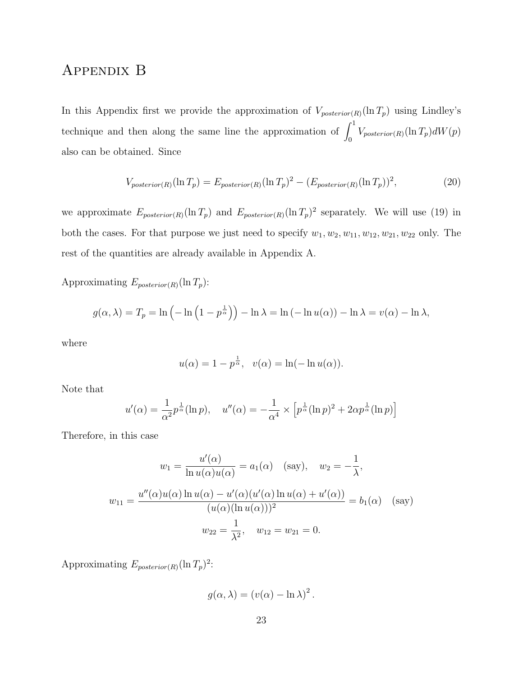### Appendix B

In this Appendix first we provide the approximation of  $V_{posterior(R)}(\ln T_p)$  using Lindley's technique and then along the same line the approximation of  $\int_0^1 V_{posterior(R)}(\ln T_p)dW(p)$ also can be obtained. Since

$$
V_{posterior(R)}(\ln T_p) = E_{posterior(R)}(\ln T_p)^2 - (E_{posterior(R)}(\ln T_p))^2, \tag{20}
$$

we approximate  $E_{posterior(R)}(\ln T_p)$  and  $E_{posterior(R)}(\ln T_p)^2$  separately. We will use (19) in both the cases. For that purpose we just need to specify  $w_1, w_2, w_{11}, w_{12}, w_{21}, w_{22}$  only. The rest of the quantities are already available in Appendix A.

Approximating  $E_{posterior(R)}(\ln T_p)$ :

$$
g(\alpha, \lambda) = T_p = \ln \left( -\ln \left( 1 - p^{\frac{1}{\alpha}} \right) \right) - \ln \lambda = \ln \left( -\ln u(\alpha) \right) - \ln \lambda = v(\alpha) - \ln \lambda,
$$

where

$$
u(\alpha) = 1 - p^{\frac{1}{\alpha}}, \quad v(\alpha) = \ln(-\ln u(\alpha)).
$$

Note that

$$
u'(\alpha) = \frac{1}{\alpha^2} p^{\frac{1}{\alpha}} (\ln p), \quad u''(\alpha) = -\frac{1}{\alpha^4} \times \left[ p^{\frac{1}{\alpha}} (\ln p)^2 + 2\alpha p^{\frac{1}{\alpha}} (\ln p) \right]
$$

Therefore, in this case

$$
w_1 = \frac{u'(\alpha)}{\ln u(\alpha)u(\alpha)} = a_1(\alpha) \quad \text{(say)}, \quad w_2 = -\frac{1}{\lambda},
$$
  

$$
w_{11} = \frac{u''(\alpha)u(\alpha)\ln u(\alpha) - u'(\alpha)(u'(\alpha)\ln u(\alpha) + u'(\alpha))}{(u(\alpha)(\ln u(\alpha)))^2} = b_1(\alpha) \quad \text{(say)}
$$
  

$$
w_{22} = \frac{1}{\lambda^2}, \quad w_{12} = w_{21} = 0.
$$

Approximating  $E_{posterior(R)}(\ln T_p)^2$ :

$$
g(\alpha, \lambda) = (v(\alpha) - \ln \lambda)^2.
$$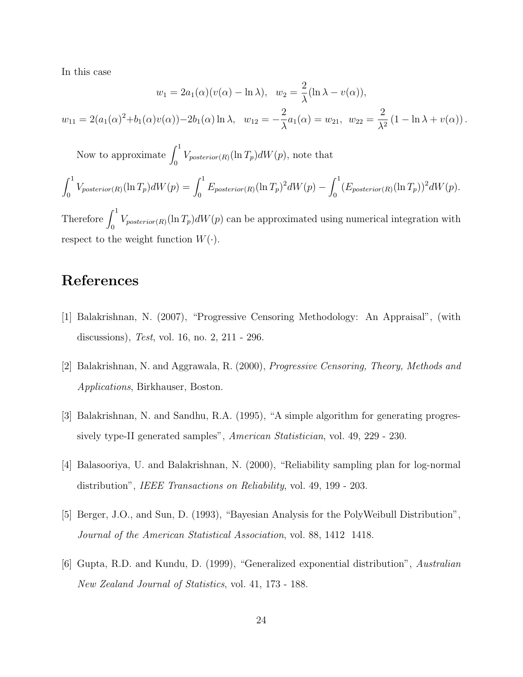In this case

$$
w_1 = 2a_1(\alpha)(v(\alpha) - \ln \lambda), \quad w_2 = \frac{2}{\lambda}(\ln \lambda - v(\alpha)),
$$
  

$$
w_{11} = 2(a_1(\alpha)^2 + b_1(\alpha)v(\alpha)) - 2b_1(\alpha)\ln \lambda, \quad w_{12} = -\frac{2}{\lambda}a_1(\alpha) = w_{21}, \quad w_{22} = \frac{2}{\lambda^2}(1 - \ln \lambda + v(\alpha)).
$$

Now to approximate  $\int_0^1 V_{posterior(R)}(\ln T_p)dW(p)$ , note that

$$
\int_0^1 V_{posterior(R)}(\ln T_p)dW(p) = \int_0^1 E_{posterior(R)}(\ln T_p)^2dW(p) - \int_0^1 (E_{posterior(R)}(\ln T_p))^2dW(p).
$$

Therefore  $\int_0^1 V_{posterior(R)}(\ln T_p)dW(p)$  can be approximated using numerical integration with respect to the weight function  $W(\cdot)$ .

### References

- [1] Balakrishnan, N. (2007), "Progressive Censoring Methodology: An Appraisal", (with discussions), Test, vol. 16, no. 2, 211 - 296.
- [2] Balakrishnan, N. and Aggrawala, R. (2000), Progressive Censoring, Theory, Methods and Applications, Birkhauser, Boston.
- [3] Balakrishnan, N. and Sandhu, R.A. (1995), "A simple algorithm for generating progressively type-II generated samples", American Statistician, vol. 49, 229 - 230.
- [4] Balasooriya, U. and Balakrishnan, N. (2000), "Reliability sampling plan for log-normal distribution", *IEEE Transactions on Reliability*, vol. 49, 199 - 203.
- [5] Berger, J.O., and Sun, D. (1993), "Bayesian Analysis for the PolyWeibull Distribution", Journal of the American Statistical Association, vol. 88, 1412 1418.
- [6] Gupta, R.D. and Kundu, D. (1999), "Generalized exponential distribution", Australian New Zealand Journal of Statistics, vol. 41, 173 - 188.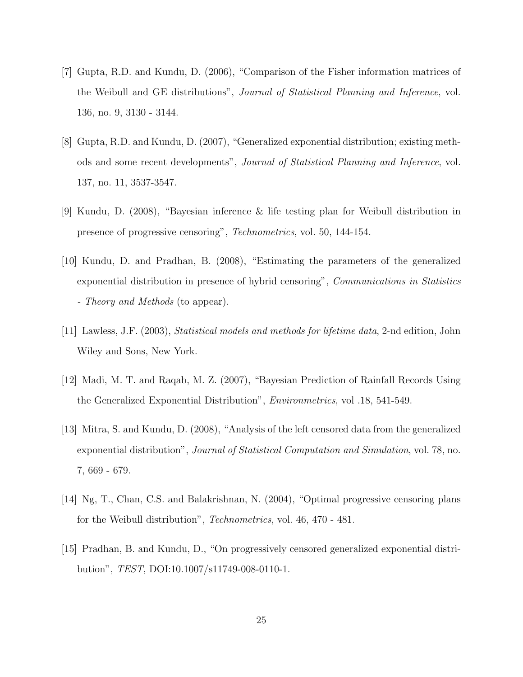- [7] Gupta, R.D. and Kundu, D. (2006), "Comparison of the Fisher information matrices of the Weibull and GE distributions", Journal of Statistical Planning and Inference, vol. 136, no. 9, 3130 - 3144.
- [8] Gupta, R.D. and Kundu, D. (2007), "Generalized exponential distribution; existing methods and some recent developments", Journal of Statistical Planning and Inference, vol. 137, no. 11, 3537-3547.
- [9] Kundu, D. (2008), "Bayesian inference & life testing plan for Weibull distribution in presence of progressive censoring", Technometrics, vol. 50, 144-154.
- [10] Kundu, D. and Pradhan, B. (2008), "Estimating the parameters of the generalized exponential distribution in presence of hybrid censoring", *Communications in Statistics* - Theory and Methods (to appear).
- [11] Lawless, J.F. (2003), Statistical models and methods for lifetime data, 2-nd edition, John Wiley and Sons, New York.
- [12] Madi, M. T. and Raqab, M. Z. (2007), "Bayesian Prediction of Rainfall Records Using the Generalized Exponential Distribution", Environmetrics, vol .18, 541-549.
- [13] Mitra, S. and Kundu, D. (2008), "Analysis of the left censored data from the generalized exponential distribution", Journal of Statistical Computation and Simulation, vol. 78, no. 7, 669 - 679.
- [14] Ng, T., Chan, C.S. and Balakrishnan, N. (2004), "Optimal progressive censoring plans for the Weibull distribution", Technometrics, vol. 46, 470 - 481.
- [15] Pradhan, B. and Kundu, D., "On progressively censored generalized exponential distribution", TEST, DOI:10.1007/s11749-008-0110-1.